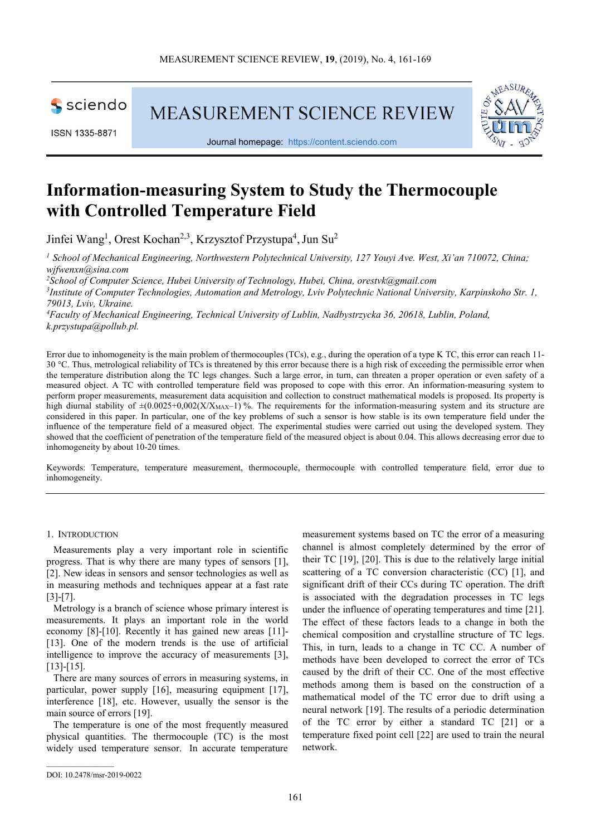**S** sciendo

ISSN 1335-8871

**MEASUREMENT SCIENCE REVIEW** 



Journal homepage: https://content.sciendo.com

# **Information-measuring System to Study the Thermocouple with Controlled Temperature Field**

Jinfei Wang<sup>1</sup>, Orest Kochan<sup>2,3</sup>, Krzysztof Przystupa<sup>4</sup>, Jun Su<sup>2</sup>

*<sup>1</sup> School of Mechanical Engineering, Northwestern Polytechnical University, 127 Youyi Ave. West, Xi'an 710072, China; wjfwenxn@sina.com* 

*<sup>2</sup>School of Computer Science, Hubei University of Technology, Hubei, China, orestvk@gmail.com* 

*3 Institute of Computer Technologies, Automation and Metrology, Lviv Polytechnic National University, Karpinskoho Str. 1, 79013, Lviv, Ukraine.* 

*<sup>4</sup>Faculty of Mechanical Engineering, Technical University of Lublin, Nadbystrzycka 36, 20618, Lublin, Poland, k.przystupa@pollub.pl.* 

Error due to inhomogeneity is the main problem of thermocouples (TCs), e.g., during the operation of a type K TC, this error can reach 11-30 °C. Thus, metrological reliability of TCs is threatened by this error because there is a high risk of exceeding the permissible error when the temperature distribution along the TC legs changes. Such a large error, in turn, can threaten a proper operation or even safety of a measured object. A TC with controlled temperature field was proposed to cope with this error. An information-measuring system to perform proper measurements, measurement data acquisition and collection to construct mathematical models is proposed. Its property is high diurnal stability of  $\pm (0.0025+0.002(X/X_{MAX}-1)$ %. The requirements for the information-measuring system and its structure are considered in this paper. In particular, one of the key problems of such a sensor is how stable is its own temperature field under the influence of the temperature field of a measured object. The experimental studies were carried out using the developed system. They showed that the coefficient of penetration of the temperature field of the measured object is about 0.04. This allows decreasing error due to inhomogeneity by about 10-20 times.

Keywords: Temperature, temperature measurement, thermocouple, thermocouple with controlled temperature field, error due to inhomogeneity.

#### 1. INTRODUCTION

Measurements play a very important role in scientific progress. That is why there are many types of sensors [1], [2]. New ideas in sensors and sensor technologies as well as in measuring methods and techniques appear at a fast rate [3]-[7].

Metrology is a branch of science whose primary interest is measurements. It plays an important role in the world economy [8]-[10]. Recently it has gained new areas [11]- [13]. One of the modern trends is the use of artificial intelligence to improve the accuracy of measurements [3], [13]-[15].

There are many sources of errors in measuring systems, in particular, power supply [16], measuring equipment [17], interference [18], etc. However, usually the sensor is the main source of errors [19].

The temperature is one of the most frequently measured physical quantities. The thermocouple (TC) is the most widely used temperature sensor. In accurate temperature measurement systems based on TC the error of a measuring channel is almost completely determined by the error of their TC [19], [20]. This is due to the relatively large initial scattering of a TC conversion characteristic (CC) [1], and significant drift of their CCs during TC operation. The drift is associated with the degradation processes in TC legs under the influence of operating temperatures and time [21]. The effect of these factors leads to a change in both the chemical composition and crystalline structure of TC legs. This, in turn, leads to a change in TC CC. A number of methods have been developed to correct the error of TCs caused by the drift of their CC. One of the most effective methods among them is based on the construction of a mathematical model of the TC error due to drift using a neural network [19]. The results of a periodic determination of the TC error by either a standard TC [21] or a temperature fixed point cell [22] are used to train the neural network.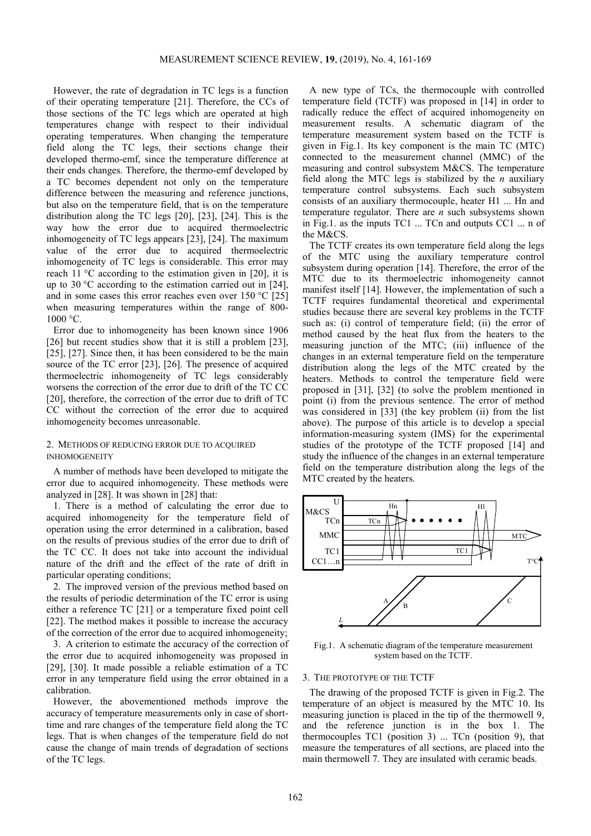However, the rate of degradation in TC legs is a function of their operating temperature [21]. Therefore, the CCs of those sections of the TC legs which are operated at high temperatures change with respect to their individual operating temperatures. When changing the temperature field along the TC legs, their sections change their developed thermo-emf, since the temperature difference at their ends changes. Therefore, the thermo-emf developed by a TC becomes dependent not only on the temperature difference between the measuring and reference junctions, but also on the temperature field, that is on the temperature distribution along the TC legs [20], [23], [24]. This is the way how the error due to acquired thermoelectric inhomogeneity of TC legs appears [23], [24]. The maximum value of the error due to acquired thermoelectric inhomogeneity of TC legs is considerable. This error may reach 11 °C according to the estimation given in [20], it is up to 30 °C according to the estimation carried out in [24], and in some cases this error reaches even over 150 °C [25] when measuring temperatures within the range of 800- 1000 °C.

Error due to inhomogeneity has been known since 1906 [26] but recent studies show that it is still a problem [23], [25], [27]. Since then, it has been considered to be the main source of the TC error [23], [26]. The presence of acquired thermoelectric inhomogeneity of TC legs considerably worsens the correction of the error due to drift of the TC CC [20], therefore, the correction of the error due to drift of TC CC without the correction of the error due to acquired inhomogeneity becomes unreasonable.

# 2. METHODS OF REDUCING ERROR DUE TO ACQUIRED INHOMOGENEITY

A number of methods have been developed to mitigate the error due to acquired inhomogeneity. These methods were analyzed in [28]. It was shown in [28] that:

1. There is a method of calculating the error due to acquired inhomogeneity for the temperature field of operation using the error determined in a calibration, based on the results of previous studies of the error due to drift of the TC CC. It does not take into account the individual nature of the drift and the effect of the rate of drift in particular operating conditions;

2. The improved version of the previous method based on the results of periodic determination of the TC error is using either a reference TC [21] or a temperature fixed point cell [22]. The method makes it possible to increase the accuracy of the correction of the error due to acquired inhomogeneity;

3. A criterion to estimate the accuracy of the correction of the error due to acquired inhomogeneity was proposed in [29], [30]. It made possible a reliable estimation of a TC error in any temperature field using the error obtained in a calibration.

However, the abovementioned methods improve the accuracy of temperature measurements only in case of shorttime and rare changes of the temperature field along the TC legs. That is when changes of the temperature field do not cause the change of main trends of degradation of sections of the TC legs.

A new type of TCs, the thermocouple with controlled temperature field (TCTF) was proposed in [14] in order to radically reduce the effect of acquired inhomogeneity on measurement results. A schematic diagram of the temperature measurement system based on the TCTF is given in Fig.1. Its key component is the main TC (MTC) connected to the measurement channel (MMC) of the measuring and control subsystem M&CS. The temperature field along the MTC legs is stabilized by the *n* auxiliary temperature control subsystems. Each such subsystem consists of an auxiliary thermocouple, heater H1 ... Hn and temperature regulator. There are *n* such subsystems shown in Fig.1. as the inputs TC1 ... TCn and outputs CC1 ... n of the M&CS.

The TCTF creates its own temperature field along the legs of the MTC using the auxiliary temperature control subsystem during operation [14]. Therefore, the error of the MTC due to its thermoelectric inhomogeneity cannot manifest itself [14]. However, the implementation of such a TCTF requires fundamental theoretical and experimental studies because there are several key problems in the TCTF such as: (i) control of temperature field; (ii) the error of method caused by the heat flux from the heaters to the measuring junction of the MTC; (iii) influence of the changes in an external temperature field on the temperature distribution along the legs of the MTC created by the heaters. Methods to control the temperature field were proposed in [31], [32] (to solve the problem mentioned in point (i) from the previous sentence. The error of method was considered in [33] (the key problem (ii) from the list above). The purpose of this article is to develop a special information-measuring system (IMS) for the experimental studies of the prototype of the TCTF proposed [14] and study the influence of the changes in an external temperature field on the temperature distribution along the legs of the MTC created by the heaters.



Fig.1. A schematic diagram of the temperature measurement system based on the TCTF.

## 3. THE PROTOTYPE OF THE TCTF

The drawing of the proposed TCTF is given in Fig.2. The temperature of an object is measured by the MTC 10. Its measuring junction is placed in the tip of the thermowell 9, and the reference junction is in the box 1. The thermocouples TC1 (position 3) ... TCn (position 9), that measure the temperatures of all sections, are placed into the main thermowell 7. They are insulated with ceramic beads.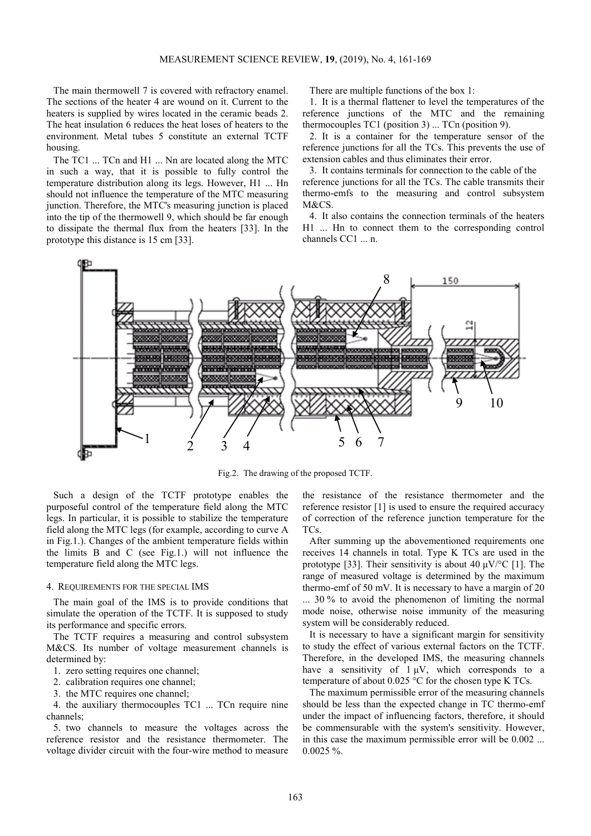The main thermowell 7 is covered with refractory enamel. The sections of the heater 4 are wound on it. Current to the heaters is supplied by wires located in the ceramic beads 2. The heat insulation 6 reduces the heat loses of heaters to the environment. Metal tubes 5 constitute an external TCTF housing.

The TC1 ... TCn and H1 ... Nn are located along the MTC in such a way, that it is possible to fully control the temperature distribution along its legs. However, H1 ... Hn should not influence the temperature of the MTC measuring junction. Therefore, the MTC's measuring junction is placed into the tip of the thermowell 9, which should be far enough to dissipate the thermal flux from the heaters [33]. In the prototype this distance is 15 cm [33].

There are multiple functions of the box 1:

1. It is a thermal flattener to level the temperatures of the reference junctions of the MTC and the remaining thermocouples TC1 (position 3) ... TCn (position 9).

2. It is a container for the temperature sensor of the reference junctions for all the TCs. This prevents the use of extension cables and thus eliminates their error.

3. It contains terminals for connection to the cable of the reference junctions for all the TCs. The cable transmits their thermo-emfs to the measuring and control subsystem M&CS.

4. It also contains the connection terminals of the heaters H1 ... Hn to connect them to the corresponding control channels CC1 ... n.



Fig.2. The drawing of the proposed TCTF.

Such a design of the TCTF prototype enables the purposeful control of the temperature field along the MTC legs. In particular, it is possible to stabilize the temperature field along the MTC legs (for example, according to curve A in Fig.1.). Changes of the ambient temperature fields within the limits B and C (see Fig.1.) will not influence the temperature field along the MTC legs.

#### 4. REQUIREMENTS FOR THE SPECIAL IMS

The main goal of the IMS is to provide conditions that simulate the operation of the TCTF. It is supposed to study its performance and specific errors.

The TCTF requires a measuring and control subsystem M&CS. Its number of voltage measurement channels is determined by:

- 1. zero setting requires one channel;
- 2. calibration requires one channel;
- 3. the MTC requires one channel;

4. the auxiliary thermocouples ТС1 ... ТСn require nine channels;

5. two channels to measure the voltages across the reference resistor and the resistance thermometer. The voltage divider circuit with the four-wire method to measure

the resistance of the resistance thermometer and the reference resistor [1] is used to ensure the required accuracy of correction of the reference junction temperature for the TCs.

After summing up the abovementioned requirements one receives 14 channels in total. Type K TCs are used in the prototype [33]. Their sensitivity is about 40  $\mu$ V/°C [1]. The range of measured voltage is determined by the maximum thermo-emf of 50 mV. It is necessary to have a margin of 20 ... 30 % to avoid the phenomenon of limiting the normal mode noise, otherwise noise immunity of the measuring system will be considerably reduced.

It is necessary to have a significant margin for sensitivity to study the effect of various external factors on the TCTF. Therefore, in the developed IMS, the measuring channels have a sensitivity of  $1 \mu V$ , which corresponds to a temperature of about 0.025 °С for the chosen type K TCs.

The maximum permissible error of the measuring channels should be less than the expected change in TC thermo-emf under the impact of influencing factors, therefore, it should be commensurable with the system's sensitivity. However, in this case the maximum permissible error will be 0.002 ... 0.0025 %.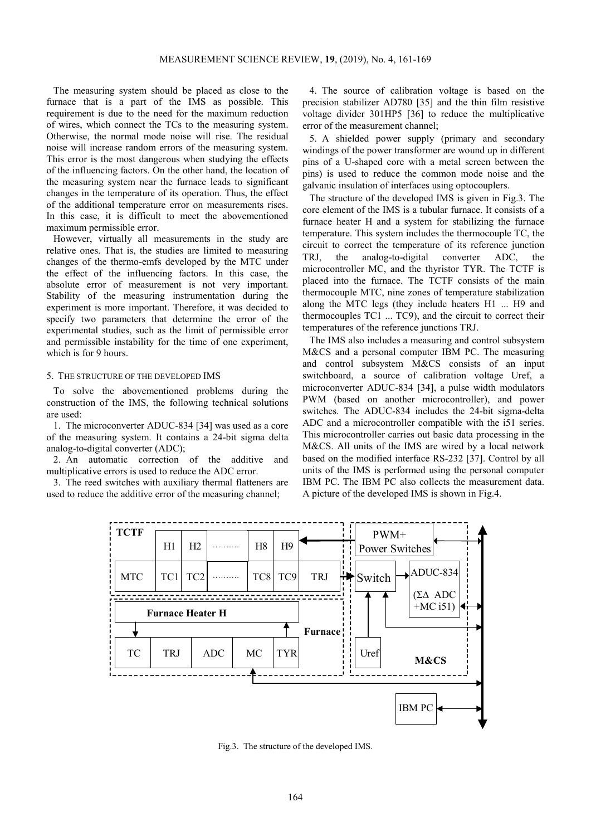The measuring system should be placed as close to the furnace that is a part of the IMS as possible. This requirement is due to the need for the maximum reduction of wires, which connect the TCs to the measuring system. Otherwise, the normal mode noise will rise. The residual noise will increase random errors of the measuring system. This error is the most dangerous when studying the effects of the influencing factors. On the other hand, the location of the measuring system near the furnace leads to significant changes in the temperature of its operation. Thus, the effect of the additional temperature error on measurements rises. In this case, it is difficult to meet the abovementioned maximum permissible error.

However, virtually all measurements in the study are relative ones. That is, the studies are limited to measuring changes of the thermo-emfs developed by the MTC under the effect of the influencing factors. In this case, the absolute error of measurement is not very important. Stability of the measuring instrumentation during the experiment is more important. Therefore, it was decided to specify two parameters that determine the error of the experimental studies, such as the limit of permissible error and permissible instability for the time of one experiment, which is for 9 hours.

### 5. THE STRUCTURE OF THE DEVELOPED IMS

To solve the abovementioned problems during the construction of the IMS, the following technical solutions are used:

1. The microconverter ADUC-834 [34] was used as a core of the measuring system. It contains a 24-bit sigma delta analog-to-digital converter (ADC);

2. An automatic correction of the additive and multiplicative errors is used to reduce the ADC error.

3. The reed switches with auxiliary thermal flatteners are used to reduce the additive error of the measuring channel;

4. The source of calibration voltage is based on the precision stabilizer AD780 [35] and the thin film resistive voltage divider 301НР5 [36] to reduce the multiplicative error of the measurement channel;

5. A shielded power supply (primary and secondary windings of the power transformer are wound up in different pins of a U-shaped core with a metal screen between the pins) is used to reduce the common mode noise and the galvanic insulation of interfaces using optocouplers.

The structure of the developed IMS is given in Fig.3. The core element of the IMS is a tubular furnace. It consists of a furnace heater H and a system for stabilizing the furnace temperature. This system includes the thermocouple TC, the circuit to correct the temperature of its reference junction TRJ, the analog-to-digital converter ADC, the microcontroller MC, and the thyristor TYR. The TCTF is placed into the furnace. The TCTF consists of the main thermocouple MTC, nine zones of temperature stabilization along the MTC legs (they include heaters H1 ... H9 and thermocouples TC1 ... TC9), and the circuit to correct their temperatures of the reference junctions TRJ.

The IMS also includes a measuring and control subsystem M&CS and a personal computer IBM PC. The measuring and control subsystem M&CS consists of an input switchboard, a source of calibration voltage Uref, a microconverter ADUC-834 [34], a pulse width modulators PWM (based on another microcontroller), and power switches. The ADUC-834 includes the 24-bit sigma-delta ADC and a microcontroller compatible with the i51 series. This microcontroller carries out basic data processing in the M&CS. All units of the IMS are wired by a local network based on the modified interface RS-232 [37]. Control by all units of the IMS is performed using the personal computer IBM PC. The IBM PC also collects the measurement data. A picture of the developed IMS is shown in Fig.4.



Fig.3. The structure of the developed IMS.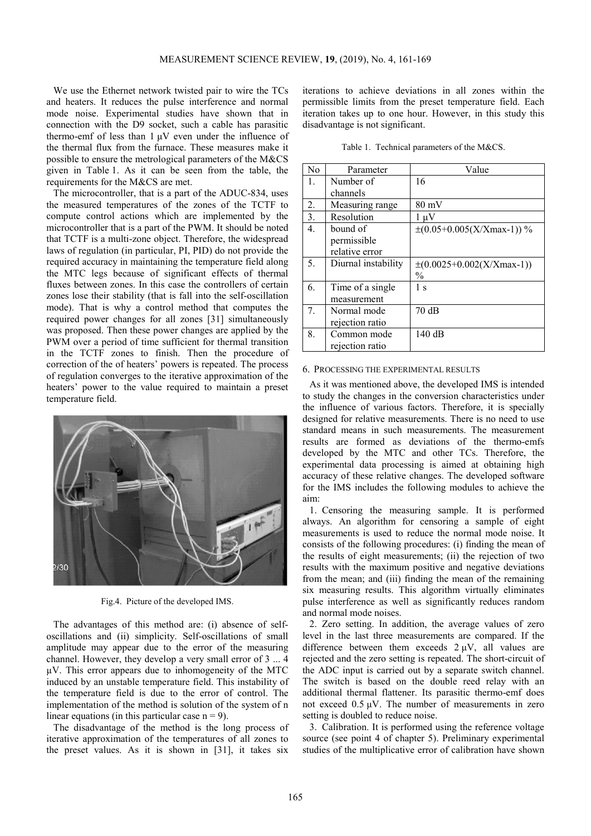We use the Ethernet network twisted pair to wire the TCs and heaters. It reduces the pulse interference and normal mode noise. Experimental studies have shown that in connection with the D9 socket, such a cable has parasitic thermo-emf of less than  $1 \mu V$  even under the influence of the thermal flux from the furnace. These measures make it possible to ensure the metrological parameters of the M&CS given in Table 1. As it can be seen from the table, the requirements for the M&CS are met.

The microcontroller, that is a part of the ADUC-834, uses the measured temperatures of the zones of the TCTF to compute control actions which are implemented by the microcontroller that is a part of the PWM. It should be noted that TCTF is a multi-zone object. Therefore, the widespread laws of regulation (in particular, PI, PID) do not provide the required accuracy in maintaining the temperature field along the MTC legs because of significant effects of thermal fluxes between zones. In this case the controllers of certain zones lose their stability (that is fall into the self-oscillation mode). That is why a control method that computes the required power changes for all zones [31] simultaneously was proposed. Then these power changes are applied by the PWM over a period of time sufficient for thermal transition in the TCTF zones to finish. Then the procedure of correction of the of heaters' powers is repeated. The process of regulation converges to the iterative approximation of the heaters' power to the value required to maintain a preset temperature field.



Fig.4. Picture of the developed IMS.

The advantages of this method are: (i) absence of selfoscillations and (ii) simplicity. Self-oscillations of small amplitude may appear due to the error of the measuring channel. However, they develop a very small error of 3 ... 4 µV. This error appears due to inhomogeneity of the MTC induced by an unstable temperature field. This instability of the temperature field is due to the error of control. The implementation of the method is solution of the system of n linear equations (in this particular case  $n = 9$ ).

The disadvantage of the method is the long process of iterative approximation of the temperatures of all zones to the preset values. As it is shown in [31], it takes six

iterations to achieve deviations in all zones within the permissible limits from the preset temperature field. Each iteration takes up to one hour. However, in this study this disadvantage is not significant.

| No               | Parameter           | Value                            |
|------------------|---------------------|----------------------------------|
| $\mathbf{1}$ .   | Number of           | 16                               |
|                  | channels            |                                  |
| 2.               | Measuring range     | $80 \text{ mV}$                  |
| 3.               | Resolution          | $1 \mu V$                        |
| $\overline{4}$ . | bound of            | $\pm (0.05 + 0.005(X/Xmax-1))$ % |
|                  | permissible         |                                  |
|                  | relative error      |                                  |
| 5.               | Diurnal instability | $\pm (0.0025 + 0.002(X/Xmax-1))$ |
|                  |                     | $\frac{0}{0}$                    |
| 6.               | Time of a single    | 1 <sub>s</sub>                   |
|                  | measurement         |                                  |
| 7 <sub>1</sub>   | Normal mode         | 70dB                             |
|                  | rejection ratio     |                                  |
| 8.               | Common mode         | $140 \text{ dB}$                 |
|                  | rejection ratio     |                                  |

Table 1. Technical parameters of the M&CS.

## 6. PROCESSING THE EXPERIMENTAL RESULTS

As it was mentioned above, the developed IMS is intended to study the changes in the conversion characteristics under the influence of various factors. Therefore, it is specially designed for relative measurements. There is no need to use standard means in such measurements. The measurement results are formed as deviations of the thermo-emfs developed by the MTC and other TCs. Therefore, the experimental data processing is aimed at obtaining high accuracy of these relative changes. The developed software for the IMS includes the following modules to achieve the aim:

1. Censoring the measuring sample. It is performed always. An algorithm for censoring a sample of eight measurements is used to reduce the normal mode noise. It consists of the following procedures: (i) finding the mean of the results of eight measurements; (ii) the rejection of two results with the maximum positive and negative deviations from the mean; and (iii) finding the mean of the remaining six measuring results. This algorithm virtually eliminates pulse interference as well as significantly reduces random and normal mode noises.

2. Zero setting. In addition, the average values of zero level in the last three measurements are compared. If the difference between them exceeds  $2 \mu V$ , all values are rejected and the zero setting is repeated. The short-circuit of the ADC input is carried out by a separate switch channel. The switch is based on the double reed relay with an additional thermal flattener. Its parasitic thermo-emf does not exceed 0.5 μV. The number of measurements in zero setting is doubled to reduce noise.

3. Calibration. It is performed using the reference voltage source (see point 4 of chapter 5). Preliminary experimental studies of the multiplicative error of calibration have shown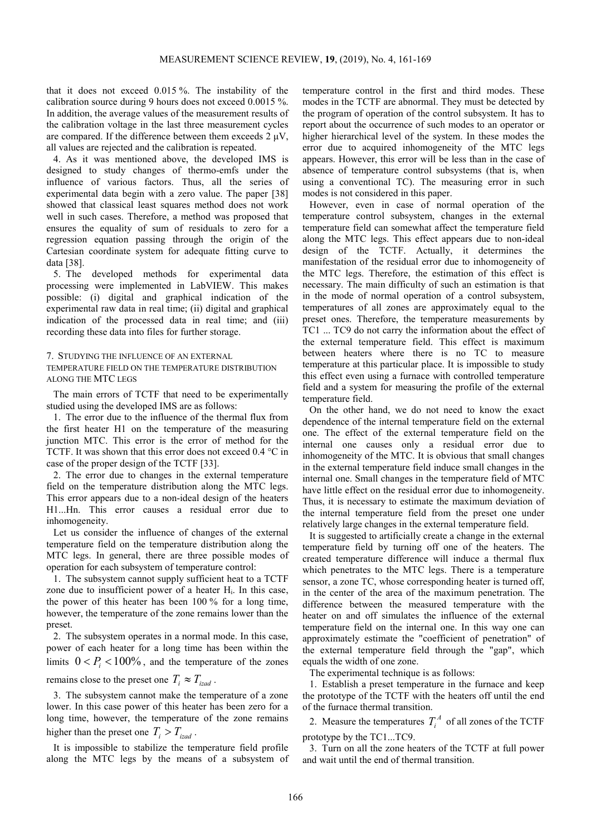that it does not exceed 0.015 %. The instability of the calibration source during 9 hours does not exceed 0.0015 %. In addition, the average values of the measurement results of the calibration voltage in the last three measurement cycles are compared. If the difference between them exceeds  $2 \mu V$ , all values are rejected and the calibration is repeated.

4. As it was mentioned above, the developed IMS is designed to study changes of thermo-emfs under the influence of various factors. Thus, all the series of experimental data begin with a zero value. The paper [38] showed that classical least squares method does not work well in such cases. Therefore, a method was proposed that ensures the equality of sum of residuals to zero for a regression equation passing through the origin of the Cartesian coordinate system for adequate fitting curve to data [38].

5. The developed methods for experimental data processing were implemented in LabVIEW. This makes possible: (i) digital and graphical indication of the experimental raw data in real time; (ii) digital and graphical indication of the processed data in real time; and (iii) recording these data into files for further storage.

# 7. STUDYING THE INFLUENCE OF AN EXTERNAL TEMPERATURE FIELD ON THE TEMPERATURE DISTRIBUTION ALONG THE MTC LEGS

The main errors of TCTF that need to be experimentally studied using the developed IMS are as follows:

1. The error due to the influence of the thermal flux from the first heater H1 on the temperature of the measuring junction MTC. This error is the error of method for the TCTF. It was shown that this error does not exceed 0.4 °C in case of the proper design of the TCTF [33].

2. The error due to changes in the external temperature field on the temperature distribution along the MTC legs. This error appears due to a non-ideal design of the heaters H1...Hn. This error causes a residual error due to inhomogeneity.

Let us consider the influence of changes of the external temperature field on the temperature distribution along the MTC legs. In general, there are three possible modes of operation for each subsystem of temperature control:

1. The subsystem cannot supply sufficient heat to a TCTF zone due to insufficient power of a heater Hi. In this case, the power of this heater has been 100 % for a long time, however, the temperature of the zone remains lower than the preset.

2. The subsystem operates in a normal mode. In this case, power of each heater for a long time has been within the limits  $0 < P_i < 100\%$ , and the temperature of the zones

remains close to the preset one  $T_i \approx T_{izad}$ .

3. The subsystem cannot make the temperature of a zone lower. In this case power of this heater has been zero for a long time, however, the temperature of the zone remains higher than the preset one  $T_i > T_{i\text{rad}}$ .

It is impossible to stabilize the temperature field profile along the MTC legs by the means of a subsystem of temperature control in the first and third modes. These modes in the TCTF are abnormal. They must be detected by the program of operation of the control subsystem. It has to report about the occurrence of such modes to an operator or higher hierarchical level of the system. In these modes the error due to acquired inhomogeneity of the MTC legs appears. However, this error will be less than in the case of absence of temperature control subsystems (that is, when using a conventional TC). The measuring error in such modes is not considered in this paper.

However, even in case of normal operation of the temperature control subsystem, changes in the external temperature field can somewhat affect the temperature field along the MTC legs. This effect appears due to non-ideal design of the TCTF. Actually, it determines the manifestation of the residual error due to inhomogeneity of the MTC legs. Therefore, the estimation of this effect is necessary. The main difficulty of such an estimation is that in the mode of normal operation of a control subsystem, temperatures of all zones are approximately equal to the preset ones. Therefore, the temperature measurements by ТС1 ... ТС9 do not carry the information about the effect of the external temperature field. This effect is maximum between heaters where there is no TC to measure temperature at this particular place. It is impossible to study this effect even using a furnace with controlled temperature field and a system for measuring the profile of the external temperature field.

On the other hand, we do not need to know the exact dependence of the internal temperature field on the external one. The effect of the external temperature field on the internal one causes only a residual error due to inhomogeneity of the MTC. It is obvious that small changes in the external temperature field induce small changes in the internal one. Small changes in the temperature field of MTC have little effect on the residual error due to inhomogeneity. Thus, it is necessary to estimate the maximum deviation of the internal temperature field from the preset one under relatively large changes in the external temperature field.

It is suggested to artificially create a change in the external temperature field by turning off one of the heaters. The created temperature difference will induce a thermal flux which penetrates to the MTC legs. There is a temperature sensor, a zone TC, whose corresponding heater is turned off, in the center of the area of the maximum penetration. The difference between the measured temperature with the heater on and off simulates the influence of the external temperature field on the internal one. In this way one can approximately estimate the "coefficient of penetration" of the external temperature field through the "gap", which equals the width of one zone.

The experimental technique is as follows:

1. Establish a preset temperature in the furnace and keep the prototype of the TCTF with the heaters off until the end of the furnace thermal transition.

2. Measure the temperatures  $T_i^A$  of all zones of the TCTF prototype by the TC1...TC9.

3. Turn on all the zone heaters of the TCTF at full power and wait until the end of thermal transition.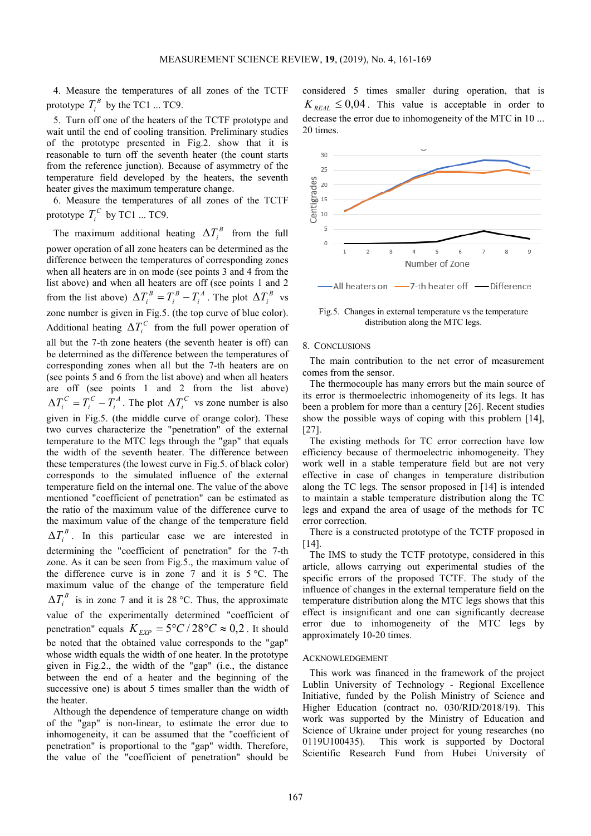4. Measure the temperatures of all zones of the TCTF prototype  $T_i^B$  by the TC1 ... TC9.

5. Turn off one of the heaters of the TCTF prototype and wait until the end of cooling transition. Preliminary studies of the prototype presented in Fig.2. show that it is reasonable to turn off the seventh heater (the count starts from the reference junction). Because of asymmetry of the temperature field developed by the heaters, the seventh heater gives the maximum temperature change.

6. Measure the temperatures of all zones of the TCTF prototype  $T_i^C$  by TC1 ... TC9.

The maximum additional heating  $\Delta T_i^B$  from the full power operation of all zone heaters can be determined as the difference between the temperatures of corresponding zones when all heaters are in on mode (see points 3 and 4 from the list above) and when all heaters are off (see points 1 and 2 from the list above)  $\Delta T_i^B = T_i^B - T_i^A$ *B*  $\Delta T_i^B = T_i^B - T_i^A$ . The plot  $\Delta T_i^B$  vs zone number is given in Fig.5. (the top curve of blue color). Additional heating  $\Delta T_i^C$  from the full power operation of all but the 7-th zone heaters (the seventh heater is off) can be determined as the difference between the temperatures of corresponding zones when all but the 7-th heaters are on (see points 5 and 6 from the list above) and when all heaters are off (see points 1 and 2 from the list above) *A i C*  $\Delta T_i^C = T_i^C - T_i^A$ . The plot  $\Delta T_i^C$  vs zone number is also given in Fig.5. (the middle curve of orange color). These two curves characterize the "penetration" of the external temperature to the MTC legs through the "gap" that equals the width of the seventh heater. The difference between these temperatures (the lowest curve in Fig.5. of black color) corresponds to the simulated influence of the external temperature field on the internal one. The value of the above mentioned "coefficient of penetration" can be estimated as the ratio of the maximum value of the difference curve to the maximum value of the change of the temperature field  $\Delta T_i^B$ . In this particular case we are interested in determining the "coefficient of penetration" for the 7-th zone. As it can be seen from Fig.5., the maximum value of the difference curve is in zone 7 and it is  $5^{\circ}$ C. The maximum value of the change of the temperature field  $\Delta T_i^B$  is in zone 7 and it is 28 °C. Thus, the approximate value of the experimentally determined "coefficient of penetration" equals  $K_{EXP} = 5\degree C / 28\degree C \approx 0.2$ . It should be noted that the obtained value corresponds to the "gap" whose width equals the width of one heater. In the prototype given in Fig.2., the width of the "gap" (i.e., the distance between the end of a heater and the beginning of the successive one) is about 5 times smaller than the width of the heater.

Although the dependence of temperature change on width of the "gap" is non-linear, to estimate the error due to inhomogeneity, it can be assumed that the "coefficient of penetration" is proportional to the "gap" width. Therefore, the value of the "coefficient of penetration" should be considered 5 times smaller during operation, that is  $K_{REAL} \leq 0.04$ . This value is acceptable in order to decrease the error due to inhomogeneity of the MTC in 10 ... 20 times.



Fig.5. Changes in external temperature vs the temperature distribution along the MTC legs.

## 8. CONCLUSIONS

The main contribution to the net error of measurement comes from the sensor.

The thermocouple has many errors but the main source of its error is thermoelectric inhomogeneity of its legs. It has been a problem for more than a century [26]. Recent studies show the possible ways of coping with this problem [14], [27].

The existing methods for TC error correction have low efficiency because of thermoelectric inhomogeneity. They work well in a stable temperature field but are not very effective in case of changes in temperature distribution along the TC legs. The sensor proposed in [14] is intended to maintain a stable temperature distribution along the TC legs and expand the area of usage of the methods for TC error correction.

There is a constructed prototype of the TCTF proposed in [14].

The IMS to study the TCTF prototype, considered in this article, allows carrying out experimental studies of the specific errors of the proposed TCTF. The study of the influence of changes in the external temperature field on the temperature distribution along the MTC legs shows that this effect is insignificant and one can significantly decrease error due to inhomogeneity of the MTC legs by approximately 10-20 times.

#### ACKNOWLEDGEMENT

This work was financed in the framework of the project Lublin University of Technology - Regional Excellence Initiative, funded by the Polish Ministry of Science and Higher Education (contract no. 030/RID/2018/19). This work was supported by the Ministry of Education and Science of Ukraine under project for young researches (no 0119U100435). This work is supported by Doctoral Scientific Research Fund from Hubei University of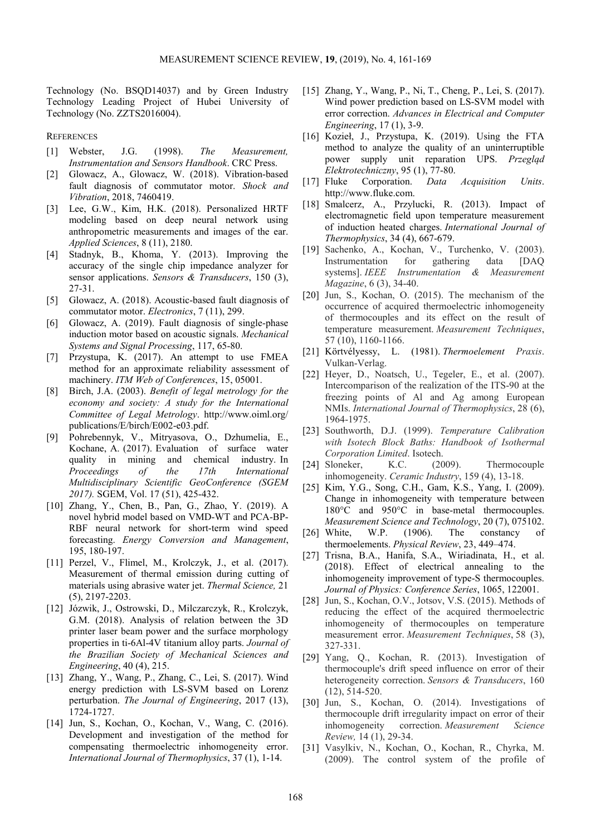Technology (No. BSQD14037) and by Green Industry Technology Leading Project of Hubei University of Technology (No. ZZTS2016004).

# **REFERENCES**

- [1] Webster, J.G. (1998). *The Measurement, Instrumentation and Sensors Handbook*. CRC Press.
- [2] Glowacz, A., Glowacz, W. (2018). Vibration-based fault diagnosis of commutator motor. *Shock and Vibration*, 2018, 7460419.
- [3] Lee, G.W., Kim, H.K. (2018). Personalized HRTF modeling based on deep neural network using anthropometric measurements and images of the ear. *Applied Sciences*, 8 (11), 2180.
- [4] Stadnyk, B., Khoma, Y. (2013). Improving the accuracy of the single chip impedance analyzer for sensor applications. *Sensors & Transducers*, 150 (3), 27-31.
- [5] Glowacz, A. (2018). Acoustic-based fault diagnosis of commutator motor. *Electronics*, 7 (11), 299.
- [6] Glowacz, A. (2019). Fault diagnosis of single-phase induction motor based on acoustic signals. *Mechanical Systems and Signal Processing*, 117, 65-80.
- [7] Przystupa, K. (2017). An attempt to use FMEA method for an approximate reliability assessment of machinery. *ITM Web of Conferences*, 15, 05001.
- [8] Birch, J.A. (2003). *Benefit of legal metrology for the economy and society: A study for the International Committee of Legal Metrology*. http://www.oiml.org/ publications/E/birch/E002-e03.pdf.
- [9] Pohrebennyk, V., Mitryasova, О., Dzhumelia, E., Kochane, A. (2017). Evaluation of surface water quality in mining and chemical industry. In *Proceedings of the 17th International Multidisciplinary Scientific GeoConference (SGEM 2017).* SGEM, Vol. 17 (51), 425-432.
- [10] Zhang, Y., Chen, B., Pan, G., Zhao, Y. (2019). A novel hybrid model based on VMD-WT and PCA-BP-RBF neural network for short-term wind speed forecasting. *Energy Conversion and Management*, 195, 180-197.
- [11] Perzel, V., Flimel, M., Krolczyk, J., et al. (2017). Measurement of thermal emission during cutting of materials using abrasive water jet. *Thermal Science,* 21 (5), 2197-2203.
- [12] Józwik, J., Ostrowski, D., Milczarczyk, R., Krolczyk, G.M. (2018). Analysis of relation between the 3D printer laser beam power and the surface morphology properties in ti-6Al-4V titanium alloy parts. *Journal of the Brazilian Society of Mechanical Sciences and Engineering*, 40 (4), 215.
- [13] Zhang, Y., Wang, P., Zhang, C., Lei, S. (2017). Wind energy prediction with LS-SVM based on Lorenz perturbation. *The Journal of Engineering*, 2017 (13), 1724-1727.
- [14] Jun, S., Kochan, O., Kochan, V., Wang, C. (2016). Development and investigation of the method for compensating thermoelectric inhomogeneity error. *International Journal of Thermophysics*, 37 (1), 1-14.
- [15] Zhang, Y., Wang, P., Ni, T., Cheng, P., Lei, S. (2017). Wind power prediction based on LS-SVM model with error correction. *Advances in Electrical and Computer Engineering*, 17 (1), 3-9.
- [16] Kozieł, J., Przystupa, K. (2019). Using the FTA method to analyze the quality of an uninterruptible power supply unit reparation UPS. *Przegląd Elektrotechniczny*, 95 (1), 77-80.
- [17] Fluke Corporation. *Data Acquisition Units*. http://www.fluke.com.
- [18] Smalcerz, A., Przylucki, R. (2013). Impact of electromagnetic field upon temperature measurement of induction heated charges. *International Journal of Thermophysics*, 34 (4), 667-679.
- [19] Sachenko, A., Kochan, V., Turchenko, V. (2003). Instrumentation for gathering data [DAQ systems]. *IEEE Instrumentation & Measurement Magazine*, 6 (3), 34-40.
- [20] Jun, S., Kochan, O. (2015). The mechanism of the occurrence of acquired thermoelectric inhomogeneity of thermocouples and its effect on the result of temperature measurement. *Measurement Techniques*, 57 (10), 1160-1166.
- [21] Körtvélyessy, L. (1981). *Thermoelement Praxis*. Vulkan-Verlag.
- [22] Heyer, D., Noatsch, U., Tegeler, E., et al. (2007). Intercomparison of the realization of the ITS-90 at the freezing points of Al and Ag among European NMIs. *International Journal of Thermophysics*, 28 (6), 1964-1975.
- [23] Southworth, D.J. (1999). *Temperature Calibration with Isotech Block Baths: Handbook of Isothermal Corporation Limited*. Isotech.
- [24] Sloneker, K.C. (2009). Thermocouple inhomogeneity. *Ceramic Industry*, 159 (4), 13-18.
- [25] Kim, Y.G., Song, C.H., Gam, K.S., Yang, I. (2009). Change in inhomogeneity with temperature between 180°C and 950°C in base-metal thermocouples. *Measurement Science and Technology*, 20 (7), 075102.
- [26] White, W.P. (1906). The constancy of thermoelements. *Physical Review*, 23, 449–474.
- [27] Trisna, B.A., Hanifa, S.A., Wiriadinata, H., et al. (2018). Effect of electrical annealing to the inhomogeneity improvement of type-S thermocouples. *Journal of Physics: Conference Series*, 1065, 122001.
- [28] Jun, S., Kochan, O.V., Jotsov, V.S. (2015). Methods of reducing the effect of the acquired thermoelectric inhomogeneity of thermocouples on temperature measurement error. *Measurement Techniques*, 58 (3), 327-331.
- [29] Yang, Q., Kochan, R. (2013). Investigation of thermocouple's drift speed influence on error of their heterogeneity correction. *Sensors & Transducers*, 160 (12), 514-520.
- [30] Jun, S., Kochan, O. (2014). Investigations of thermocouple drift irregularity impact on error of their inhomogeneity correction. *Measurement Science Review,* 14 (1), 29-34.
- [31] Vasylkiv, N., Kochan, O., Kochan, R., Chyrka, M. (2009). The control system of the profile of